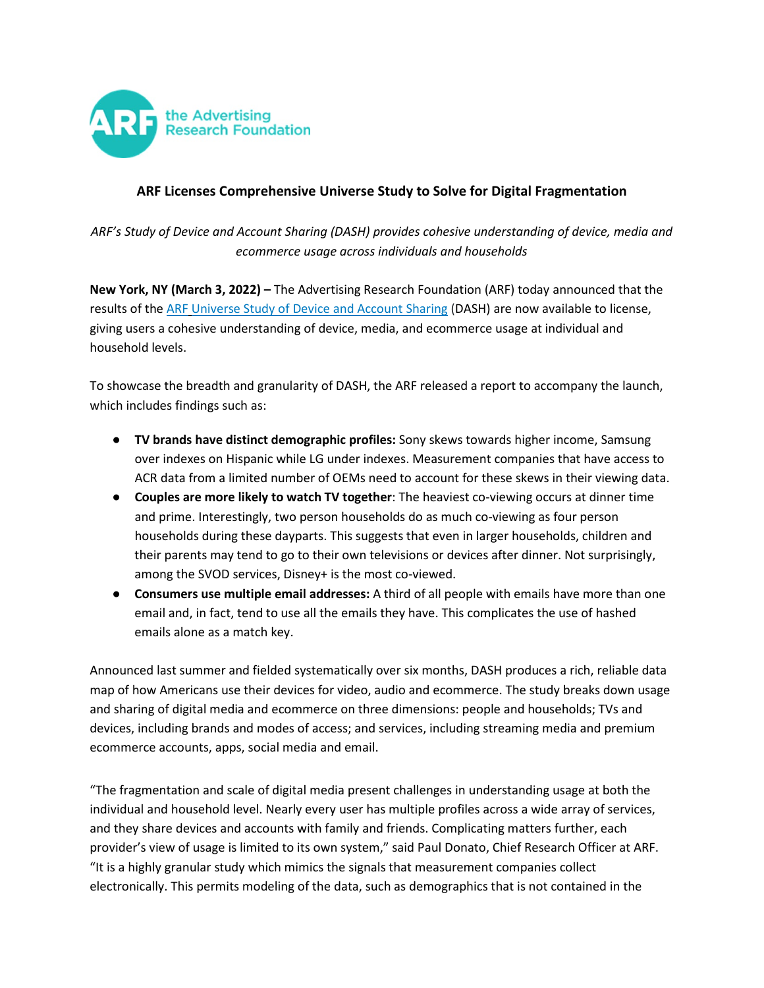

## **ARF Licenses Comprehensive Universe Study to Solve for Digital Fragmentation**

*ARF's Study of Device and Account Sharing (DASH) provides cohesive understanding of device, media and ecommerce usage across individuals and households*

**New York, NY (March 3, 2022) –** The Advertising Research Foundation (ARF) today announced that the results of th[e ARF](https://thearf.org/) [Universe Study of Device and Account Sharing](https://thearf.org/category/articles/the-study-of-device-account-sharing-the-how-and-why/) (DASH) are now available to license, giving users a cohesive understanding of device, media, and ecommerce usage at individual and household levels.

To showcase the breadth and granularity of DASH, the ARF released a report to accompany the launch, which includes findings such as:

- **TV brands have distinct demographic profiles:** Sony skews towards higher income, Samsung over indexes on Hispanic while LG under indexes. Measurement companies that have access to ACR data from a limited number of OEMs need to account for these skews in their viewing data.
- **Couples are more likely to watch TV together**: The heaviest co-viewing occurs at dinner time and prime. Interestingly, two person households do as much co-viewing as four person households during these dayparts. This suggests that even in larger households, children and their parents may tend to go to their own televisions or devices after dinner. Not surprisingly, among the SVOD services, Disney+ is the most co-viewed.
- **Consumers use multiple email addresses:** A third of all people with emails have more than one email and, in fact, tend to use all the emails they have. This complicates the use of hashed emails alone as a match key.

Announced last summer and fielded systematically over six months, DASH produces a rich, reliable data map of how Americans use their devices for video, audio and ecommerce. The study breaks down usage and sharing of digital media and ecommerce on three dimensions: people and households; TVs and devices, including brands and modes of access; and services, including streaming media and premium ecommerce accounts, apps, social media and email.

"The fragmentation and scale of digital media present challenges in understanding usage at both the individual and household level. Nearly every user has multiple profiles across a wide array of services, and they share devices and accounts with family and friends. Complicating matters further, each provider's view of usage is limited to its own system," said Paul Donato, Chief Research Officer at ARF. "It is a highly granular study which mimics the signals that measurement companies collect electronically. This permits modeling of the data, such as demographics that is not contained in the